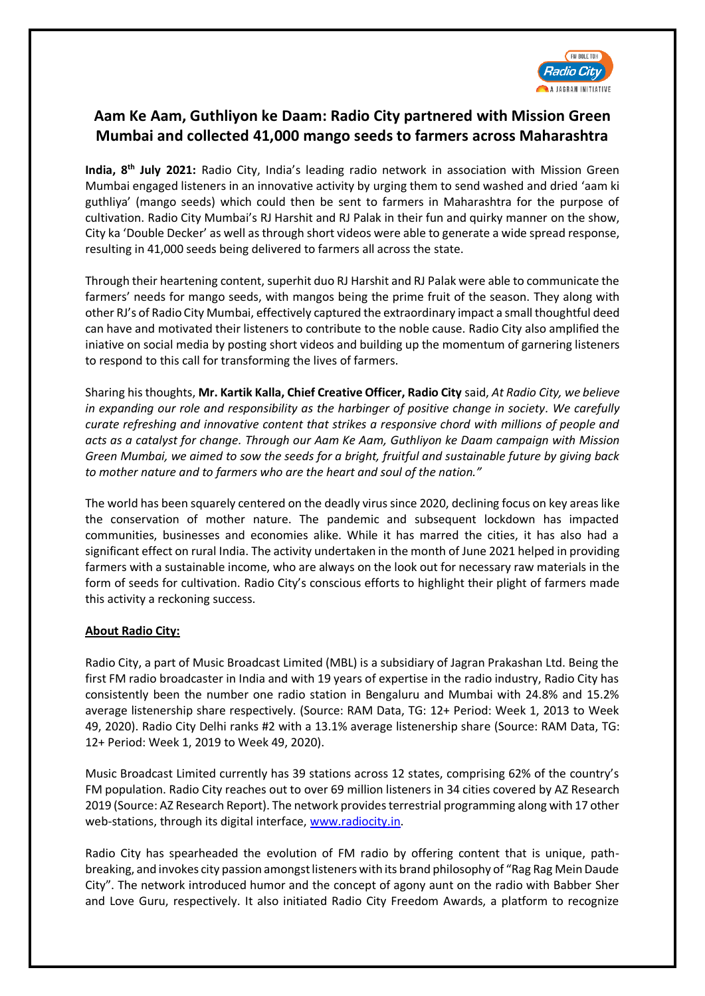

## **Aam Ke Aam, Guthliyon ke Daam: Radio City partnered with Mission Green Mumbai and collected 41,000 mango seeds to farmers across Maharashtra**

**India, 8 th July 2021:** Radio City, India's leading radio network in association with Mission Green Mumbai engaged listeners in an innovative activity by urging them to send washed and dried 'aam ki guthliya' (mango seeds) which could then be sent to farmers in Maharashtra for the purpose of cultivation. Radio City Mumbai's RJ Harshit and RJ Palak in their fun and quirky manner on the show, City ka 'Double Decker' as well as through short videos were able to generate a wide spread response, resulting in 41,000 seeds being delivered to farmers all across the state.

Through their heartening content, superhit duo RJ Harshit and RJ Palak were able to communicate the farmers' needs for mango seeds, with mangos being the prime fruit of the season. They along with other RJ's of Radio City Mumbai, effectively captured the extraordinary impact a small thoughtful deed can have and motivated their listeners to contribute to the noble cause. Radio City also amplified the iniative on social media by posting short videos and building up the momentum of garnering listeners to respond to this call for transforming the lives of farmers.

Sharing his thoughts, **Mr. Kartik Kalla, Chief Creative Officer, Radio City** said, *At Radio City, we believe in expanding our role and responsibility as the harbinger of positive change in society. We carefully curate refreshing and innovative content that strikes a responsive chord with millions of people and acts as a catalyst for change. Through our Aam Ke Aam, Guthliyon ke Daam campaign with Mission Green Mumbai, we aimed to sow the seeds for a bright, fruitful and sustainable future by giving back to mother nature and to farmers who are the heart and soul of the nation."*

The world has been squarely centered on the deadly virus since 2020, declining focus on key areas like the conservation of mother nature. The pandemic and subsequent lockdown has impacted communities, businesses and economies alike. While it has marred the cities, it has also had a significant effect on rural India. The activity undertaken in the month of June 2021 helped in providing farmers with a sustainable income, who are always on the look out for necessary raw materials in the form of seeds for cultivation. Radio City's conscious efforts to highlight their plight of farmers made this activity a reckoning success.

## **About Radio City:**

Radio City, a part of Music Broadcast Limited (MBL) is a subsidiary of Jagran Prakashan Ltd. Being the first FM radio broadcaster in India and with 19 years of expertise in the radio industry, Radio City has consistently been the number one radio station in Bengaluru and Mumbai with 24.8% and 15.2% average listenership share respectively. (Source: RAM Data, TG: 12+ Period: Week 1, 2013 to Week 49, 2020). Radio City Delhi ranks #2 with a 13.1% average listenership share (Source: RAM Data, TG: 12+ Period: Week 1, 2019 to Week 49, 2020).

Music Broadcast Limited currently has 39 stations across 12 states, comprising 62% of the country's FM population. Radio City reaches out to over 69 million listeners in 34 cities covered by AZ Research 2019 (Source: AZ Research Report). The network provides terrestrial programming along with 17 other web-stations, through its digital interface[, www.radiocity.in.](http://www.radiocity.in/)

Radio City has spearheaded the evolution of FM radio by offering content that is unique, pathbreaking, and invokes city passion amongst listeners with its brand philosophy of "Rag Rag Mein Daude City". The network introduced humor and the concept of agony aunt on the radio with Babber Sher and Love Guru, respectively. It also initiated Radio City Freedom Awards, a platform to recognize